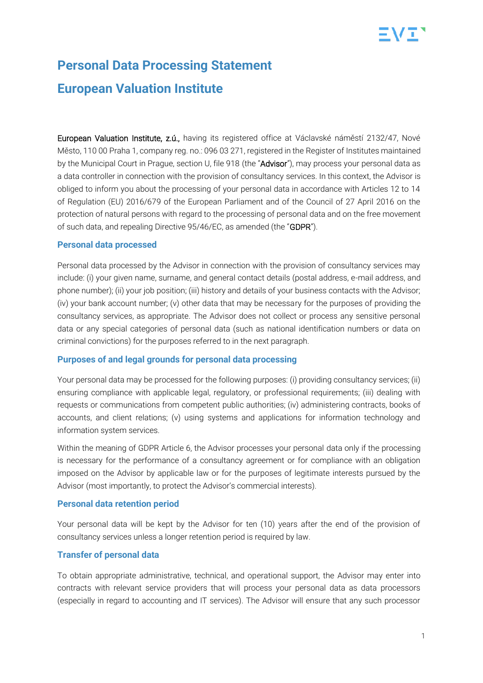

# **Personal Data Processing Statement European Valuation Institute**

European Valuation Institute, z.ú., having its registered office at Václavské náměstí 2132/47, Nové Město, 110 00 Praha 1, company reg. no.: 096 03 271, registered in the Register of Institutes maintained by the Municipal Court in Prague, section U, file 918 (the "Advisor"), may process your personal data as a data controller in connection with the provision of consultancy services. In this context, the Advisor is obliged to inform you about the processing of your personal data in accordance with Articles 12 to 14 of Regulation (EU) 2016/679 of the European Parliament and of the Council of 27 April 2016 on the protection of natural persons with regard to the processing of personal data and on the free movement of such data, and repealing Directive 95/46/EC, as amended (the "GDPR").

#### **Personal data processed**

Personal data processed by the Advisor in connection with the provision of consultancy services may include: (i) your given name, surname, and general contact details (postal address, e-mail address, and phone number); (ii) your job position; (iii) history and details of your business contacts with the Advisor; (iv) your bank account number; (v) other data that may be necessary for the purposes of providing the consultancy services, as appropriate. The Advisor does not collect or process any sensitive personal data or any special categories of personal data (such as national identification numbers or data on criminal convictions) for the purposes referred to in the next paragraph.

#### **Purposes of and legal grounds for personal data processing**

Your personal data may be processed for the following purposes: (i) providing consultancy services; (ii) ensuring compliance with applicable legal, regulatory, or professional requirements; (iii) dealing with requests or communications from competent public authorities; (iv) administering contracts, books of accounts, and client relations; (v) using systems and applications for information technology and information system services.

Within the meaning of GDPR Article 6, the Advisor processes your personal data only if the processing is necessary for the performance of a consultancy agreement or for compliance with an obligation imposed on the Advisor by applicable law or for the purposes of legitimate interests pursued by the Advisor (most importantly, to protect the Advisor's commercial interests).

#### **Personal data retention period**

Your personal data will be kept by the Advisor for ten (10) years after the end of the provision of consultancy services unless a longer retention period is required by law.

### **Transfer of personal data**

To obtain appropriate administrative, technical, and operational support, the Advisor may enter into contracts with relevant service providers that will process your personal data as data processors (especially in regard to accounting and IT services). The Advisor will ensure that any such processor